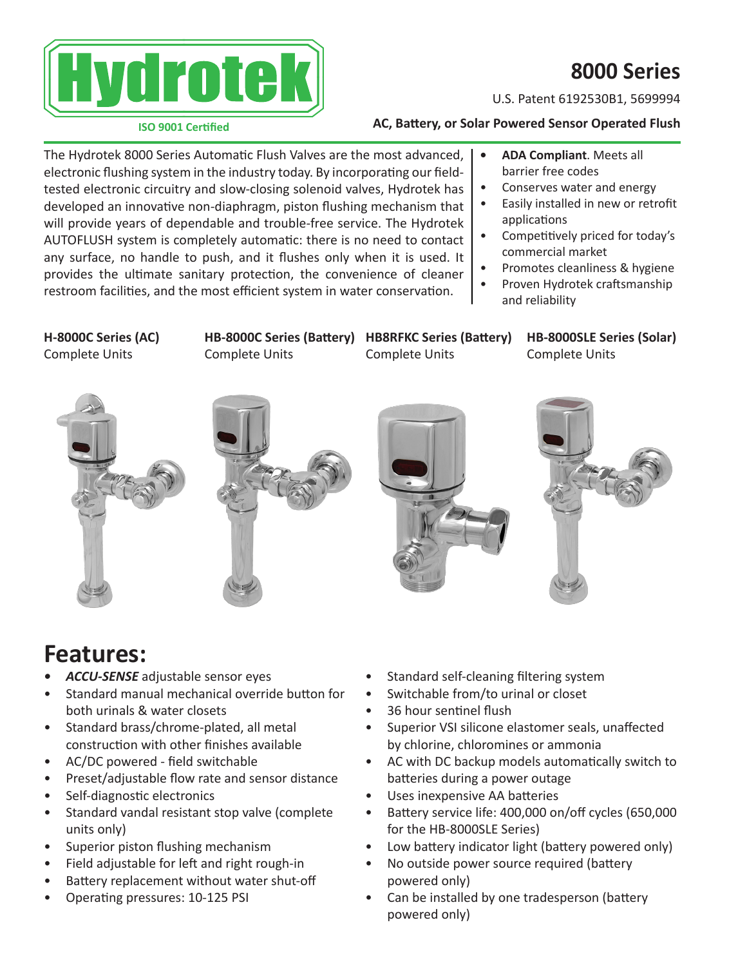

# **8000 Series**

U.S. Patent 6192530B1, 5699994

#### **ISO 9001 Certified**

### **AC, Battery, or Solar Powered Sensor Operated Flush**

and reliability

The Hydrotek 8000 Series Automatic Flush Valves are the most advanced, electronic flushing system in the industry today. By incorporating our fieldtested electronic circuitry and slow-closing solenoid valves, Hydrotek has developed an innovative non-diaphragm, piston flushing mechanism that will provide years of dependable and trouble-free service. The Hydrotek AUTOFLUSH system is completely automatic: there is no need to contact any surface, no handle to push, and it flushes only when it is used. It provides the ultimate sanitary protection, the convenience of cleaner restroom facilities, and the most efficient system in water conservation. **• ADA Compliant**. Meets all barrier free codes • Conserves water and energy • Easily installed in new or retrofit applications • Competitively priced for today's commercial market • Promotes cleanliness & hygiene • Proven Hydrotek craftsmanship

**H-8000C Series (AC)** Complete Units

Complete Units

**HB-8000C Series (Battery) HB8RFKC Series (Battery)** Complete Units

**HB-8000SLE Series (Solar)** Complete Units









# **Features:**

- **ACCU-SENSE** adjustable sensor eyes
- Standard manual mechanical override button for both urinals & water closets
- Standard brass/chrome-plated, all metal construction with other finishes available
- AC/DC powered field switchable
- Preset/adjustable flow rate and sensor distance
- Self-diagnostic electronics
- Standard vandal resistant stop valve (complete units only)
- Superior piston flushing mechanism
- Field adjustable for left and right rough-in
- Battery replacement without water shut-off
- Operating pressures: 10-125 PSI
- Standard self-cleaning filtering system
- Switchable from/to urinal or closet
- 36 hour sentinel flush
- Superior VSI silicone elastomer seals, unaffected by chlorine, chloromines or ammonia
- AC with DC backup models automatically switch to batteries during a power outage
- Uses inexpensive AA batteries
- Battery service life: 400,000 on/off cycles (650,000 for the HB-8000SLE Series)
- Low battery indicator light (battery powered only)
- No outside power source required (battery powered only)
- Can be installed by one tradesperson (battery powered only)